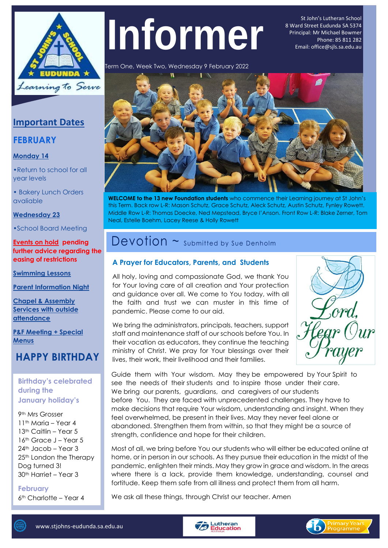

# Te 9 **Informer**

St John's Lutheran School 8 Ward Street Eudunda SA 5374 Principal: Mr Michael Bowmer Phone: 85 811 282 Email: office@sjls.sa.edu.au

Term One, Week Two, Wednesday 9 February 2022



**WELCOME to the 13 new Foundation students** who commence their Learning journey at St John's this Term. Back row L-R: Mason Schutz, Grace Schutz, Aleck Schutz, Austin Schutz, Fynley Rowett. Middle Row L-R: Thomas Doecke, Ned Mepstead, Bryce I'Anson. Front Row L-R: Blake Zerner, Tom Neal, Estelle Boehm, Lacey Reese & Holly Rowett

# Devotion ~ Submitted by Sue Denholm

#### **A Prayer for Educators, Parents, and Students**

All holy, loving and compassionate God, we thank You for Your loving care of all creation and Your protection and guidance over all. We come to You today, with all the faith and trust we can muster in this time of pandemic. Please come to our aid.

We bring the administrators, principals, teachers, support staff and maintenance staff of our schools before You. In their vocation as educators, they continue the teaching ministry of Christ. We pray for Your blessings over their lives, their work, their livelihood and their families.



Guide them with Your wisdom. May they be empowered by Your Spirit to see the needs of their students and to inspire those under their care. We bring our parents, guardians, and caregivers of our students before You. They are faced with unprecedented challenges. They have to make decisions that require Your wisdom, understanding and insight. When they feel overwhelmed, be present in their lives. May they never feel alone or abandoned. Strengthen them from within, so that they might be a source of strength, confidence and hope for their children.

Most of all, we bring before You our students who will either be educated online at home, or in person in our schools. As they pursue their education in the midst of the pandemic, enlighten their minds. May they grow in grace and wisdom. In the areas where there is a lack, provide them knowledge, understanding, counsel and fortitude. Keep them safe from all illness and protect them from all harm.

We ask all these things, through Christ our teacher. Amen

### **Important Dates**

### **FEBRUARY**

l,

#### **Monday 14**

•Return to school for all year levels

• Bakery Lunch Orders avaliable

#### **Wednesday 23**

•School Board Meeting

#### **Events on hold pending further advice regarding the easing of restrictions**

**Swimming Lessons**

**Parent Information Night**

**Chapel & Assembly Services with outside attendance**

**P&F Meeting + Special Menus** 

### **HAPPY BIRTHDAY**

**Birthday's celebrated during the January holiday's**

9th Mrs Grosser 11<sup>th</sup> Maria – Year 4 13<sup>th</sup> Caitlin – Year 5 16<sup>th</sup> Grace J – Year 5 24<sup>th</sup> Jacob - Year 3 25<sup>th</sup> London the Therapy Dog turned 3! 30th Harriet – Year 3

**February**  6th Charlotte – Year 4



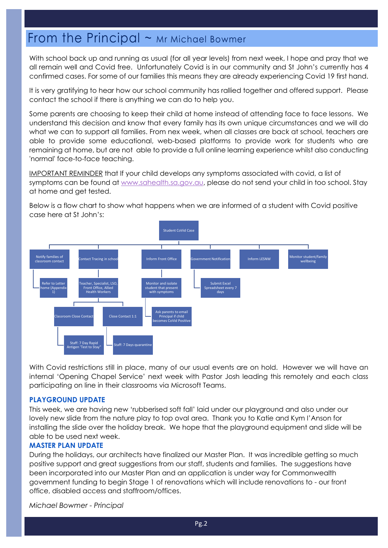## From the Principal  $\sim$  Mr Michael Bowmer

With school back up and running as usual (for all year levels) from next week, I hope and pray that we all remain well and Covid free. Unfortunately Covid is in our community and St John's currently has 4 confirmed cases. For some of our families this means they are already experiencing Covid 19 first hand.

It is very gratifying to hear how our school community has rallied together and offered support. Please contact the school if there is anything we can do to help you.

Some parents are choosing to keep their child at home instead of attending face to face lessons. We understand this decision and know that every family has its own unique circumstances and we will do what we can to support all families. From nex week, when all classes are back at school, teachers are able to provide some educational, web-based platforms to provide work for students who are remaining at home, but are not able to provide a full online learning experience whilst also conducting 'normal' face-to-face teaching.

IMPORTANT REMINDER that If your child develops any symptoms associated with covid, a list of symptoms can be found at [www.sahealth.sa.gov.au,](http://www.sahealth.sa.gov.au/) please do not send your child in too school. Stay at home and get tested.

Below is a flow chart to show what happens when we are informed of a student with Covid positive case here at St John's:



With Covid restrictions still in place, many of our usual events are on hold. However we will have an internal 'Opening Chapel Service' next week with Pastor Josh leading this remotely and each class participating on line in their classrooms via Microsoft Teams.

#### **PLAYGROUND UPDATE**

This week, we are having new 'rubberised soft fall' laid under our playground and also under our lovely new slide from the nature play to top oval area. Thank you to Katie and Kym I'Anson for installing the slide over the holiday break. We hope that the playground equipment and slide will be able to be used next week.

#### **MASTER PLAN UPDATE**

During the holidays, our architects have finalized our Master Plan. It was incredible getting so much positive support and great suggestions from our staff, students and families. The suggestions have been incorporated into our Master Plan and an application is under way for Commonwealth government funding to begin Stage 1 of renovations which will include renovations to - our front office, disabled access and staffroom/offices.

*Michael Bowmer - Principal*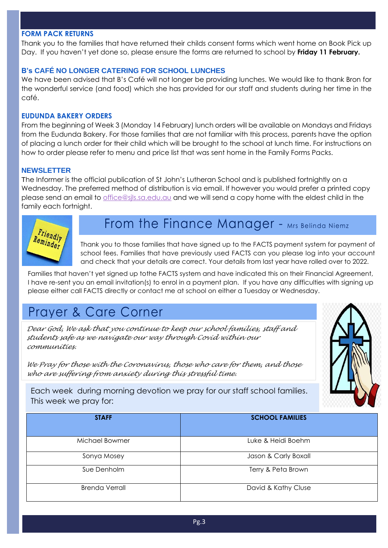#### **FORM PACK RETURNS**

Thank you to the families that have returned their childs consent forms which went home on Book Pick up Day. If you haven't yet done so, please ensure the forms are returned to school by **Friday 11 February.**

#### **B's CAFÉ NO LONGER CATERING FOR SCHOOL LUNCHES**

We have been advised that B's Café will not longer be providing lunches. We would like to thank Bron for the wonderful service (and food) which she has provided for our staff and students during her time in the café.

#### **EUDUNDA BAKERY ORDERS**

From the beginning of Week 3 (Monday 14 February) lunch orders will be available on Mondays and Fridays from the Eudunda Bakery. For those families that are not familiar with this process, parents have the option of placing a lunch order for their child which will be brought to the school at lunch time. For instructions on how to order please refer to menu and price list that was sent home in the Family Forms Packs.

#### **NEWSLETTER**

The Informer is the official publication of St John's Lutheran School and is published fortnightly on a Wednesday. The preferred method of distribution is via email. If however you would prefer a printed copy please send an email to [office@sjls.sa.edu.au](mailto:office@sjls.sa.edu.au) and we will send a copy home with the eldest child in the family each fortnight.



# From the Finance Manager - Mrs Belinda Niemz

Thank you to those families that have signed up to the FACTS payment system for payment of school fees. Families that have previously used FACTS can you please log into your account and check that your details are correct. Your details from last year have rolled over to 2022.

Families that haven't yet signed up tothe FACTS system and have indicated this on their Financial Agreement, I have re-sent you an email invitation(s) to enrol in a payment plan. If you have any difficulties with signing up please either call FACTS directly or contact me at school on either a Tuesday or Wednesday.

# Prayer & Care Corner

*Dear God, We ask that you continue to keep our school families, staff and students safe as we navigate our way through Covid within our communities.*

*We Pray for those with the Coronavirus, those who care for them, and those who are suffering from anxiety during this stressful time.*



Each week during morning devotion we pray for our staff school families. This week we pray for:

| <b>STAFF</b>          | <b>SCHOOL FAMILIES</b> |
|-----------------------|------------------------|
| Michael Bowmer        | Luke & Heidi Boehm     |
| Sonya Mosey           | Jason & Carly Boxall   |
| Sue Denholm           | Terry & Peta Brown     |
| <b>Brenda Verrall</b> | David & Kathy Cluse    |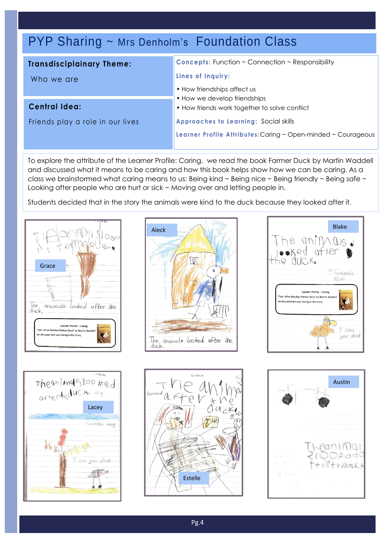# PYP Sharing ~ Mrs Denholm's Foundation Class

### **Transdisciplainary Theme:**

Who we are

**Central Idea:**

Friends play a role in our lives

**Concepts:** Function ~ Connection ~ Responsibility

#### **Lines of Inquiry:**

- How friendships affect us
- How we develop friendships
- How friends work together to solve conflict

**Approaches to Learning:** Social skills

**Learner Profile Attributes:** Caring ~ Open-minded ~ Courageous

To explore the attribute of the Learner Profile: Caring, we read the book Farmer Duck by Martin Waddell and discussed what it means to be caring and how this book helps show how we can be caring. As a class we brainstormed what caring means to us: Being kind  $\sim$  Being nice  $\sim$  Being friendly  $\sim$  Being safe  $\sim$ Looking after people who are hurt or sick ~ Moving over and letting people in.

Students decided that in the story the animals were kind to the duck because they looked after it.